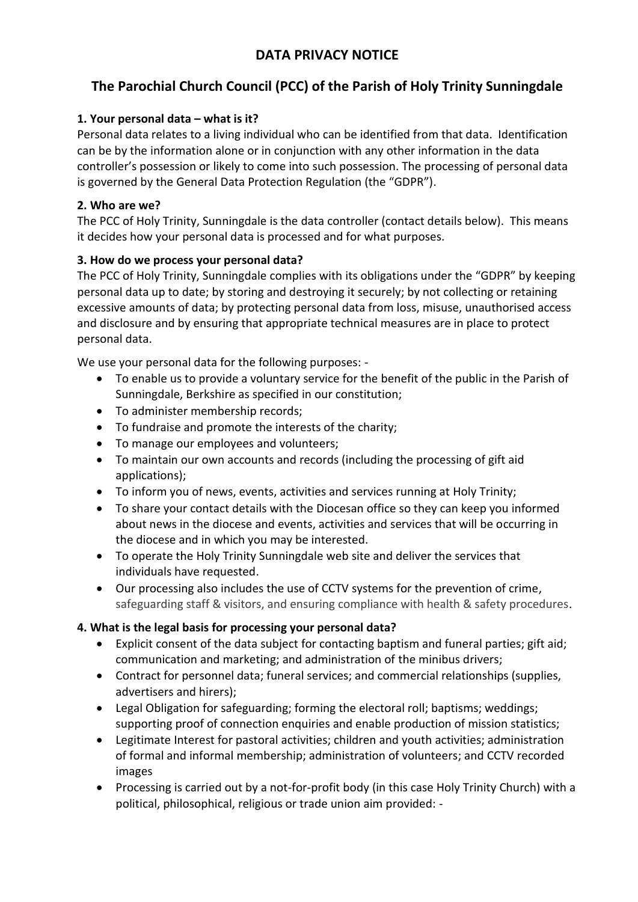## **DATA PRIVACY NOTICE**

# **The Parochial Church Council (PCC) of the Parish of Holy Trinity Sunningdale**

#### **1. Your personal data – what is it?**

Personal data relates to a living individual who can be identified from that data. Identification can be by the information alone or in conjunction with any other information in the data controller's possession or likely to come into such possession. The processing of personal data is governed by the General Data Protection Regulation (the "GDPR").

#### **2. Who are we?**

The PCC of Holy Trinity, Sunningdale is the data controller (contact details below). This means it decides how your personal data is processed and for what purposes.

#### **3. How do we process your personal data?**

The PCC of Holy Trinity, Sunningdale complies with its obligations under the "GDPR" by keeping personal data up to date; by storing and destroying it securely; by not collecting or retaining excessive amounts of data; by protecting personal data from loss, misuse, unauthorised access and disclosure and by ensuring that appropriate technical measures are in place to protect personal data.

We use your personal data for the following purposes: -

- To enable us to provide a voluntary service for the benefit of the public in the Parish of Sunningdale, Berkshire as specified in our constitution;
- To administer membership records;
- To fundraise and promote the interests of the charity;
- To manage our employees and volunteers;
- To maintain our own accounts and records (including the processing of gift aid applications);
- To inform you of news, events, activities and services running at Holy Trinity;
- To share your contact details with the Diocesan office so they can keep you informed about news in the diocese and events, activities and services that will be occurring in the diocese and in which you may be interested.
- To operate the Holy Trinity Sunningdale web site and deliver the services that individuals have requested.
- Our processing also includes the use of CCTV systems for the prevention of crime, safeguarding staff & visitors, and ensuring compliance with health & safety procedures.

#### **4. What is the legal basis for processing your personal data?**

- Explicit consent of the data subject for contacting baptism and funeral parties; gift aid; communication and marketing; and administration of the minibus drivers;
- Contract for personnel data; funeral services; and commercial relationships (supplies, advertisers and hirers);
- Legal Obligation for safeguarding; forming the electoral roll; baptisms; weddings; supporting proof of connection enquiries and enable production of mission statistics;
- Legitimate Interest for pastoral activities; children and youth activities; administration of formal and informal membership; administration of volunteers; and CCTV recorded images
- Processing is carried out by a not-for-profit body (in this case Holy Trinity Church) with a political, philosophical, religious or trade union aim provided: -